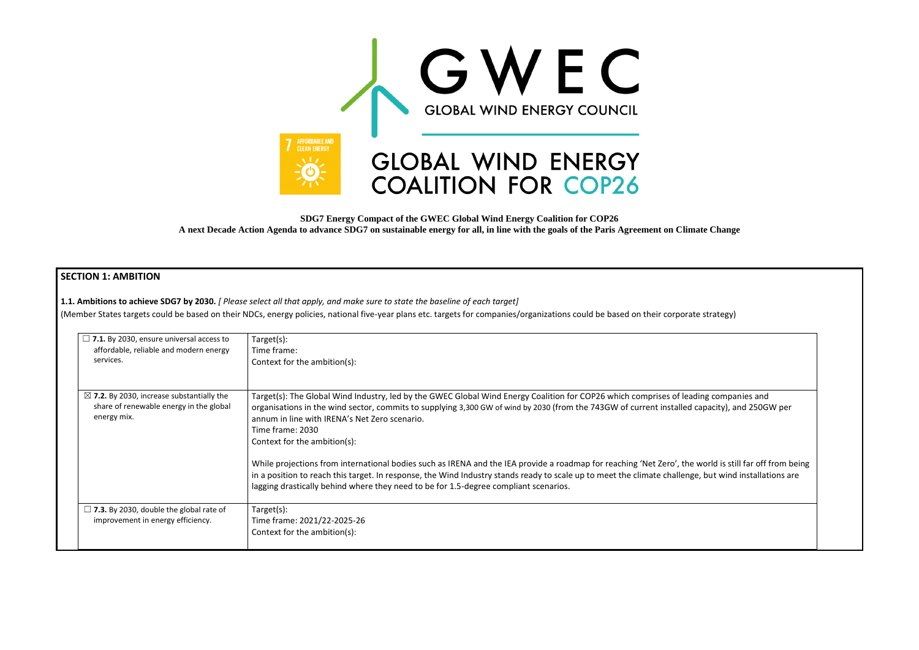

**SDG7 Energy Compact of the GWEC Global Wind Energy Coalition for COP26 A next Decade Action Agenda to advance SDG7 on sustainable energy for all, in line with the goals of the Paris Agreement on Climate Change**

### **SECTION 1: AMBITION**

**1.1. Ambitions to achieve SDG7 by 2030.** *[ Please select all that apply, and make sure to state the baseline of each target]* 

(Member States targets could be based on their NDCs, energy policies, national five-year plans etc. targets for companies/organizations could be based on their corporate strategy)

| $\Box$ 7.1. By 2030, ensure universal access to<br>affordable, reliable and modern energy<br>services.         | $Target(s)$ :<br>Time frame:<br>Context for the ambition(s):                                                                                                                                                                                                                                                                                                                                                                                                                                                                                                                                                                                                                                 |
|----------------------------------------------------------------------------------------------------------------|----------------------------------------------------------------------------------------------------------------------------------------------------------------------------------------------------------------------------------------------------------------------------------------------------------------------------------------------------------------------------------------------------------------------------------------------------------------------------------------------------------------------------------------------------------------------------------------------------------------------------------------------------------------------------------------------|
| $\boxtimes$ 7.2. By 2030, increase substantially the<br>share of renewable energy in the global<br>energy mix. | Target(s): The Global Wind Industry, led by the GWEC Global Wind Energy Coalition for COP26 which comprises of lead<br>organisations in the wind sector, commits to supplying 3,300 GW of wind by 2030 (from the 743GW of current installed<br>annum in line with IRENA's Net Zero scenario.<br>Time frame: 2030<br>Context for the ambition(s):<br>While projections from international bodies such as IRENA and the IEA provide a roadmap for reaching 'Net Zero', the<br>in a position to reach this target. In response, the Wind Industry stands ready to scale up to meet the climate challeng<br>lagging drastically behind where they need to be for 1.5-degree compliant scenarios. |
| $\Box$ 7.3. By 2030, double the global rate of<br>improvement in energy efficiency.                            | Target(s):<br>Time frame: 2021/22-2025-26<br>Context for the ambition(s):                                                                                                                                                                                                                                                                                                                                                                                                                                                                                                                                                                                                                    |

ding companies and capacity), and 250GW per

bodies internations internations international both and the Internal such a roadmap internal is still far off from being ge, but wind installations are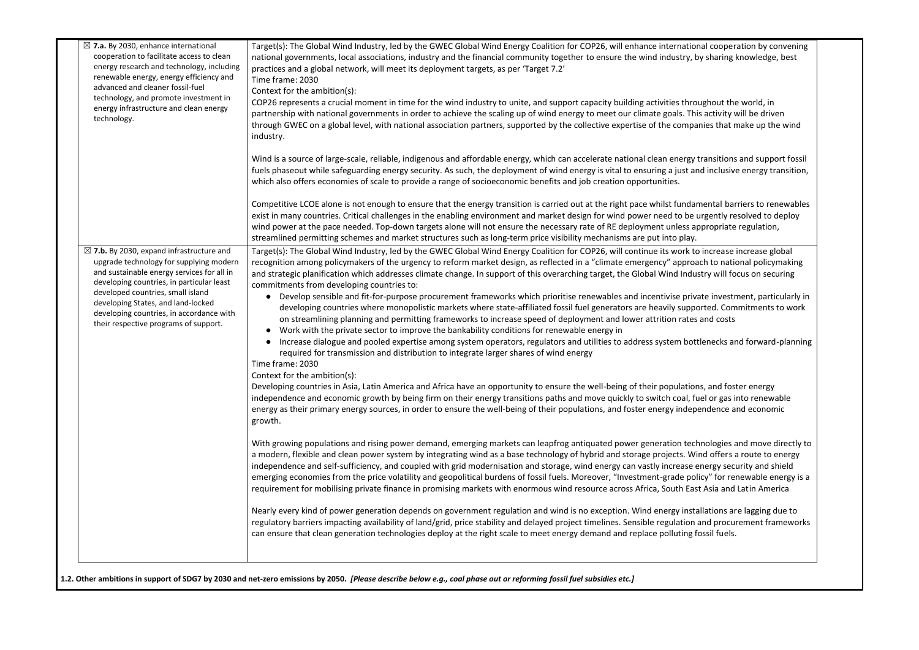| $\boxtimes$ 7.a. By 2030, enhance international<br>cooperation to facilitate access to clean<br>energy research and technology, including<br>renewable energy, energy efficiency and<br>advanced and cleaner fossil-fuel                                                                                                                                  | Target(s): The Global Wind Industry, led by the GWEC Global Wind Energy Coalition for COP26, will enhance international cooperation by convening<br>national governments, local associations, industry and the financial community together to ensure the wind industry, by sharing knowledge, best<br>practices and a global network, will meet its deployment targets, as per 'Target 7.2'<br>Time frame: 2030                                                                                                                                                                                                                                                                                                                                                                                                                                                                                                                                                                                                                                                                                                                                                                                                                                                                                                                                                                                                                                                                                                                                                                                                                                                                                                                                                           |
|-----------------------------------------------------------------------------------------------------------------------------------------------------------------------------------------------------------------------------------------------------------------------------------------------------------------------------------------------------------|----------------------------------------------------------------------------------------------------------------------------------------------------------------------------------------------------------------------------------------------------------------------------------------------------------------------------------------------------------------------------------------------------------------------------------------------------------------------------------------------------------------------------------------------------------------------------------------------------------------------------------------------------------------------------------------------------------------------------------------------------------------------------------------------------------------------------------------------------------------------------------------------------------------------------------------------------------------------------------------------------------------------------------------------------------------------------------------------------------------------------------------------------------------------------------------------------------------------------------------------------------------------------------------------------------------------------------------------------------------------------------------------------------------------------------------------------------------------------------------------------------------------------------------------------------------------------------------------------------------------------------------------------------------------------------------------------------------------------------------------------------------------------|
| technology, and promote investment in<br>energy infrastructure and clean energy<br>technology.                                                                                                                                                                                                                                                            | Context for the ambition(s):<br>COP26 represents a crucial moment in time for the wind industry to unite, and support capacity building activities throughout the world, in<br>partnership with national governments in order to achieve the scaling up of wind energy to meet our climate goals. This activity will be driven<br>through GWEC on a global level, with national association partners, supported by the collective expertise of the companies that make up the wind<br>industry.                                                                                                                                                                                                                                                                                                                                                                                                                                                                                                                                                                                                                                                                                                                                                                                                                                                                                                                                                                                                                                                                                                                                                                                                                                                                            |
|                                                                                                                                                                                                                                                                                                                                                           | Wind is a source of large-scale, reliable, indigenous and affordable energy, which can accelerate national clean energy transitions and support fossil<br>fuels phaseout while safeguarding energy security. As such, the deployment of wind energy is vital to ensuring a just and inclusive energy transition,<br>which also offers economies of scale to provide a range of socioeconomic benefits and job creation opportunities.                                                                                                                                                                                                                                                                                                                                                                                                                                                                                                                                                                                                                                                                                                                                                                                                                                                                                                                                                                                                                                                                                                                                                                                                                                                                                                                                      |
|                                                                                                                                                                                                                                                                                                                                                           | Competitive LCOE alone is not enough to ensure that the energy transition is carried out at the right pace whilst fundamental barriers to renewables<br>exist in many countries. Critical challenges in the enabling environment and market design for wind power need to be urgently resolved to deploy<br>wind power at the pace needed. Top-down targets alone will not ensure the necessary rate of RE deployment unless appropriate regulation,<br>streamlined permitting schemes and market structures such as long-term price visibility mechanisms are put into play.                                                                                                                                                                                                                                                                                                                                                                                                                                                                                                                                                                                                                                                                                                                                                                                                                                                                                                                                                                                                                                                                                                                                                                                              |
| $\boxtimes$ 7.b. By 2030, expand infrastructure and<br>upgrade technology for supplying modern<br>and sustainable energy services for all in<br>developing countries, in particular least<br>developed countries, small island<br>developing States, and land-locked<br>developing countries, in accordance with<br>their respective programs of support. | Target(s): The Global Wind Industry, led by the GWEC Global Wind Energy Coalition for COP26, will continue its work to increase increase global<br>recognition among policymakers of the urgency to reform market design, as reflected in a "climate emergency" approach to national policymaking<br>and strategic planification which addresses climate change. In support of this overarching target, the Global Wind Industry will focus on securing<br>commitments from developing countries to:<br>Develop sensible and fit-for-purpose procurement frameworks which prioritise renewables and incentivise private investment, particularly in<br>developing countries where monopolistic markets where state-affiliated fossil fuel generators are heavily supported. Commitments to work<br>on streamlining planning and permitting frameworks to increase speed of deployment and lower attrition rates and costs<br>Work with the private sector to improve the bankability conditions for renewable energy in<br>Increase dialogue and pooled expertise among system operators, regulators and utilities to address system bottlenecks and forward-planning<br>required for transmission and distribution to integrate larger shares of wind energy<br>Time frame: 2030<br>Context for the ambition(s):<br>Developing countries in Asia, Latin America and Africa have an opportunity to ensure the well-being of their populations, and foster energy<br>independence and economic growth by being firm on their energy transitions paths and move quickly to switch coal, fuel or gas into renewable<br>energy as their primary energy sources, in order to ensure the well-being of their populations, and foster energy independence and economic<br>growth. |
|                                                                                                                                                                                                                                                                                                                                                           | With growing populations and rising power demand, emerging markets can leapfrog antiquated power generation technologies and move directly to<br>a modern, flexible and clean power system by integrating wind as a base technology of hybrid and storage projects. Wind offers a route to energy<br>independence and self-sufficiency, and coupled with grid modernisation and storage, wind energy can vastly increase energy security and shield<br>emerging economies from the price volatility and geopolitical burdens of fossil fuels. Moreover, "Investment-grade policy" for renewable energy is a<br>requirement for mobilising private finance in promising markets with enormous wind resource across Africa, South East Asia and Latin America                                                                                                                                                                                                                                                                                                                                                                                                                                                                                                                                                                                                                                                                                                                                                                                                                                                                                                                                                                                                                |
|                                                                                                                                                                                                                                                                                                                                                           | Nearly every kind of power generation depends on government regulation and wind is no exception. Wind energy installations are lagging due to<br>regulatory barriers impacting availability of land/grid, price stability and delayed project timelines. Sensible regulation and procurement frameworks<br>can ensure that clean generation technologies deploy at the right scale to meet energy demand and replace polluting fossil fuels.                                                                                                                                                                                                                                                                                                                                                                                                                                                                                                                                                                                                                                                                                                                                                                                                                                                                                                                                                                                                                                                                                                                                                                                                                                                                                                                               |

**1.2. Other ambitions in support of SDG7 by 2030 and net-zero emissions by 2050.** *[Please describe below e.g., coal phase out or reforming fossil fuel subsidies etc.]*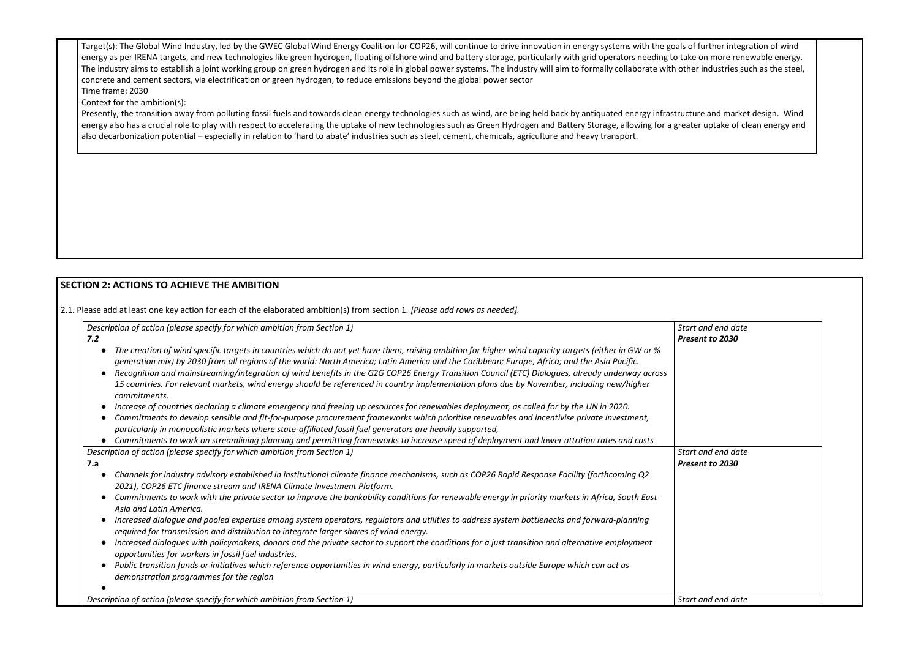Target(s): The Global Wind Industry, led by the GWEC Global Wind Energy Coalition for COP26, will continue to drive innovation in energy systems with the goals of further integration of wind energy as per IRENA targets, and new technologies like green hydrogen, floating offshore wind and battery storage, particularly with grid operators needing to take on more renewable energy. The industry aims to establish a joint working group on green hydrogen and its role in global power systems. The industry will aim to formally collaborate with other industries such as the steel, concrete and cement sectors, via electrification or green hydrogen, to reduce emissions beyond the global power sector Time frame: 2030

Presently, the transition away from polluting fossil fuels and towards clean energy technologies such as wind, are being held back by antiquated energy infrastructure and market design. Wind energy also has a crucial role to play with respect to accelerating the uptake of new technologies such as Green Hydrogen and Battery Storage, allowing for a greater uptake of clean energy and also decarbonization potential – especially in relation to 'hard to abate' industries such as steel, cement, chemicals, agriculture and heavy transport.

Context for the ambition(s):

## **SECTION 2: ACTIONS TO ACHIEVE THE AMBITION**

| Description of action (please specify for which ambition from Section 1)<br>7.2<br>The creation of wind specific targets in countries which do not yet have them, raising ambition for higher wind capacity targets (either in GW or %<br>generation mix) by 2030 from all regions of the world: North America; Latin America and the Caribbean; Europe, Africa; and the Asia Pacific.<br>Recognition and mainstreaming/integration of wind benefits in the G2G COP26 Energy Transition Council (ETC) Dialogues, already underway across<br>15 countries. For relevant markets, wind energy should be referenced in country implementation plans due by November, including new/higher<br>commitments.<br>Increase of countries declaring a climate emergency and freeing up resources for renewables deployment, as called for by the UN in 2020.<br>Commitments to develop sensible and fit-for-purpose procurement frameworks which prioritise renewables and incentivise private investment, | Start and end date<br>Present to 2030 |
|--------------------------------------------------------------------------------------------------------------------------------------------------------------------------------------------------------------------------------------------------------------------------------------------------------------------------------------------------------------------------------------------------------------------------------------------------------------------------------------------------------------------------------------------------------------------------------------------------------------------------------------------------------------------------------------------------------------------------------------------------------------------------------------------------------------------------------------------------------------------------------------------------------------------------------------------------------------------------------------------------|---------------------------------------|
| particularly in monopolistic markets where state-affiliated fossil fuel generators are heavily supported,<br>Commitments to work on streamlining planning and permitting frameworks to increase speed of deployment and lower attrition rates and costs<br>Description of action (please specify for which ambition from Section 1)<br>7.a                                                                                                                                                                                                                                                                                                                                                                                                                                                                                                                                                                                                                                                       | Start and end date<br>Present to 2030 |
| Channels for industry advisory established in institutional climate finance mechanisms, such as COP26 Rapid Response Facility (forthcoming Q2<br>2021), COP26 ETC finance stream and IRENA Climate Investment Platform.<br>Commitments to work with the private sector to improve the bankability conditions for renewable energy in priority markets in Africa, South East<br>Asia and Latin America.<br>Increased dialogue and pooled expertise among system operators, regulators and utilities to address system bottlenecks and forward-planning<br>required for transmission and distribution to integrate larger shares of wind energy.                                                                                                                                                                                                                                                                                                                                                   |                                       |
| Increased dialogues with policymakers, donors and the private sector to support the conditions for a just transition and alternative employment<br>opportunities for workers in fossil fuel industries.<br>Public transition funds or initiatives which reference opportunities in wind energy, particularly in markets outside Europe which can act as<br>demonstration programmes for the region                                                                                                                                                                                                                                                                                                                                                                                                                                                                                                                                                                                               |                                       |
| Description of action (please specify for which ambition from Section 1)                                                                                                                                                                                                                                                                                                                                                                                                                                                                                                                                                                                                                                                                                                                                                                                                                                                                                                                         | Start and end date                    |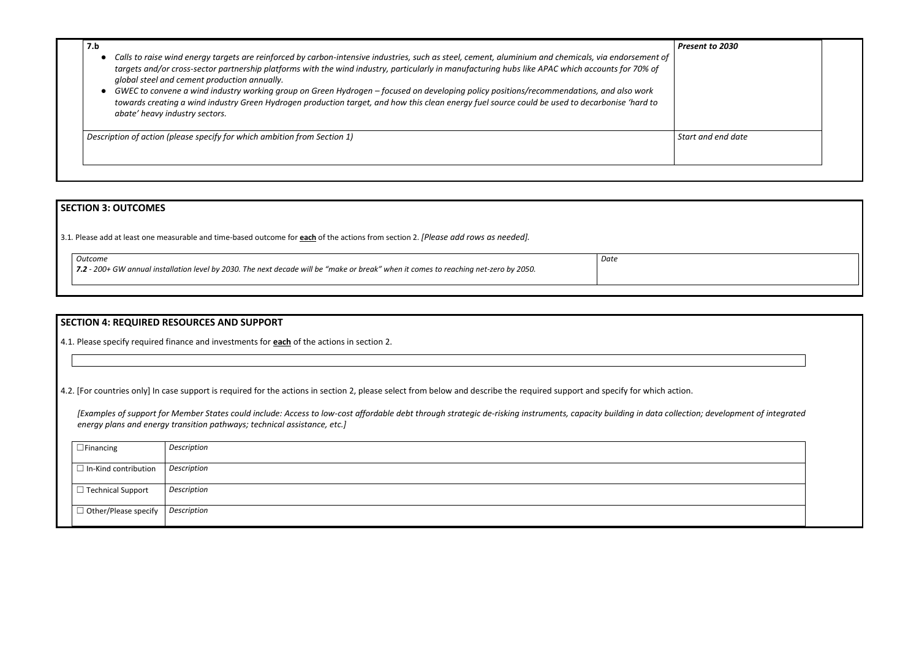#### **7.b**

- *Calls to raise wind energy targets are reinforced by carbon-intensive industries, such as steel, cement, aluminium and chemicals, via endorsement of targets and/or cross-sector partnership platforms with the wind industry, particularly in manufacturing hubs like APAC which accounts for 70% of global steel and cement production annually.*
- *GWEC to convene a wind industry working group on Green Hydrogen focused on developing policy positions/recommendations, and also work towards creating a wind industry Green Hydrogen production target, and how this clean energy fuel source could be used to decarbonise 'hard to abate' heavy industry sectors.*

*Description of action (please specify for which ambition from Section 1)* **Start and data and data and data and data and data and data and data and data and data and data and data and data and data and data and data and d** 

#### **SECTION 3: OUTCOMES**

[Examples of support for Member States could include: Access to low-cost affordable debt through strategic de-risking instruments, capacity building in data collectio. *energy plans and energy transition pathways; technical assistance, etc.]*

3.1*.* Please add at least one measurable and time-based outcome for **each** of the actions from section 2. *[Please add rows as needed].*

| Outcome                                                                                                                              | Date |
|--------------------------------------------------------------------------------------------------------------------------------------|------|
| 1.2 - 200+ GW annual installation level by 2030. The next decade will be "make or break" when it comes to reaching net-zero by 2050. |      |
|                                                                                                                                      |      |

#### **SECTION 4: REQUIRED RESOURCES AND SUPPORT**

4.1. Please specify required finance and investments for **each** of the actions in section 2.

4.2. [For countries only] In case support is required for the actions in section 2, please select from below and describe the required support and specify for which action.

| $\Box$ Financing            | Description |
|-----------------------------|-------------|
| $\Box$ In-Kind contribution | Description |
| $\Box$ Technical Support    | Description |
| $\Box$ Other/Please specify | Description |

*Prese* 

| ent to 2030                   |  |
|-------------------------------|--|
|                               |  |
|                               |  |
|                               |  |
|                               |  |
| t and end date                |  |
|                               |  |
|                               |  |
|                               |  |
|                               |  |
|                               |  |
|                               |  |
|                               |  |
|                               |  |
|                               |  |
|                               |  |
|                               |  |
|                               |  |
|                               |  |
|                               |  |
|                               |  |
| on; development of integrated |  |
|                               |  |
|                               |  |
|                               |  |
|                               |  |
|                               |  |
|                               |  |
|                               |  |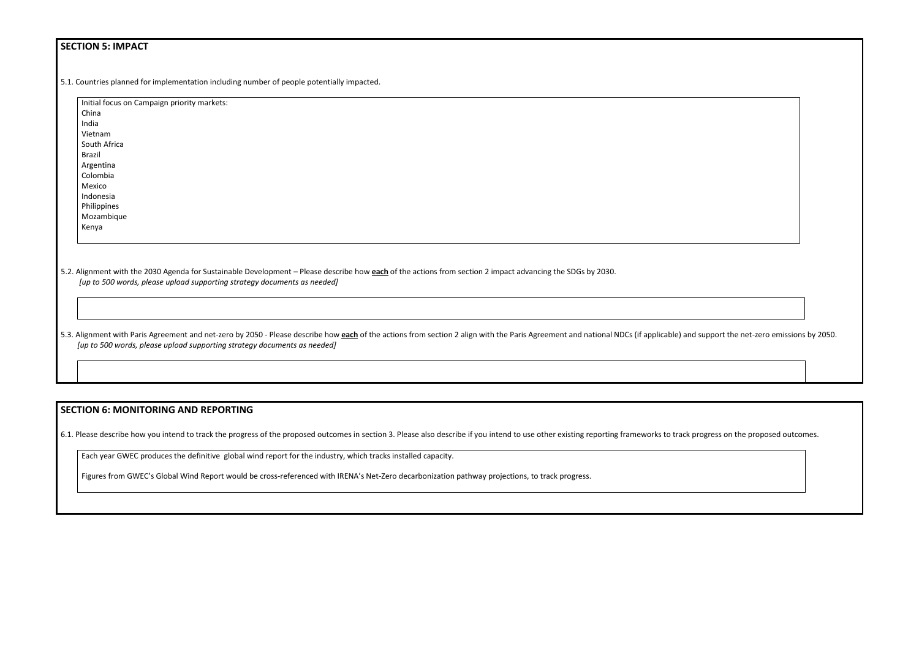#### **SECTION 5: IMPACT**

5.1. Countries planned for implementation including number of people potentially impacted.

Initial focus on Campaign priority markets: China India Vietnam South Africa Brazil Argentina Colombia Mexico Indonesia Philippines Mozambique Kenya

5.2. Alignment with the 2030 Agenda for Sustainable Development – Please describe how **each** of the actions from section 2 impact advancing the SDGs by 2030. *[up to 500 words, please upload supporting strategy documents as needed]* 

5.3. Alignment with Paris Agreement and net-zero by 2050 - Please describe how each of the actions from section 2 align with the Paris Agreement and national NDCs (if applicable) and support the net-zero emissions by 2050. *[up to 500 words, please upload supporting strategy documents as needed]* 

#### **SECTION 6: MONITORING AND REPORTING**

6.1. Please describe how you intend to track the progress of the proposed outcomes in section 3. Please also describe if you intend to use other existing reporting frameworks to track progress on the proposed outcomes.

Each year GWEC produces the definitive global wind report for the industry, which tracks installed capacity.

Figures from GWEC's Global Wind Report would be cross-referenced with IRENA's Net-Zero decarbonization pathway projections, to track progress.

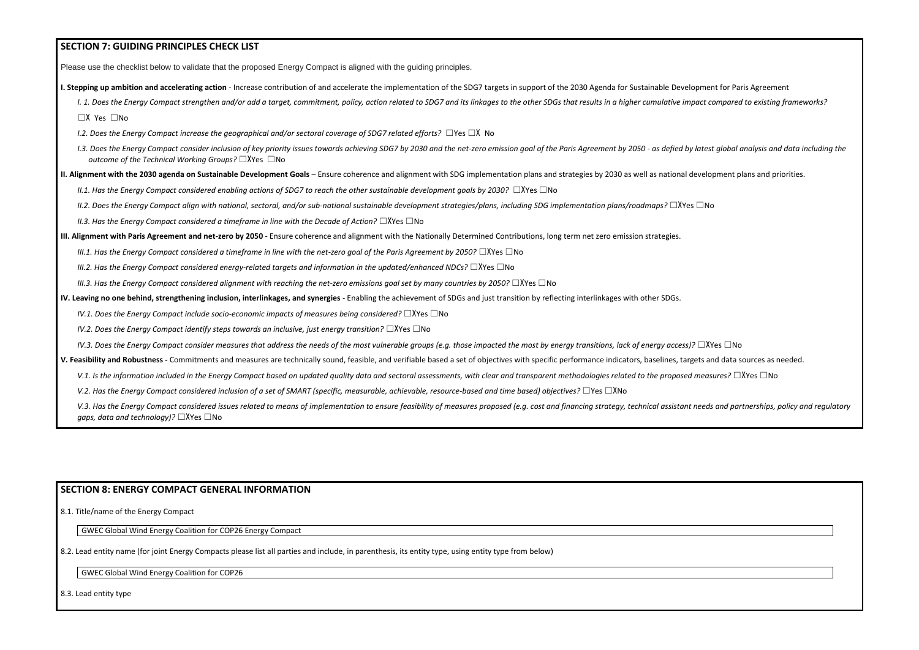ets and data sources as needed. *V.1. Is the information included in the Energy Compact based on updated quality data and sectoral assessments, with clear and transparent methodologies related to the proposed measures?* ☐XYes ☐No

needs and partnerships, policy and regulatory

| <b>SECTION 7: GUIDING PRINCIPLES CHECK LIST</b>                                                                                                                                                                                                          |
|----------------------------------------------------------------------------------------------------------------------------------------------------------------------------------------------------------------------------------------------------------|
| Please use the checklist below to validate that the proposed Energy Compact is aligned with the guiding principles.                                                                                                                                      |
| I. Stepping up ambition and accelerating action - Increase contribution of and accelerate the implementation of the SDG7 targets in support of the 2030 Agenda for Sustainable Development for Pa                                                        |
| I. 1. Does the Energy Compact strengthen and/or add a target, commitment, policy, action related to SDG7 and its linkages to the other SDGs that results in a higher cumulative impact compared                                                          |
| $\Box X$ Yes $\Box$ No                                                                                                                                                                                                                                   |
| I.2. Does the Energy Compact increase the geographical and/or sectoral coverage of SDG7 related efforts? $\Box$ Yes $\Box$ X No                                                                                                                          |
| I.3. Does the Energy Compact consider inclusion of key priority issues towards achieving SDG7 by 2030 and the net-zero emission goal of the Paris Agreement by 2050 - as defied by latest global a<br>outcome of the Technical Working Groups? □XYes □No |
| II. Alignment with the 2030 agenda on Sustainable Development Goals - Ensure coherence and alignment with SDG implementation plans and strategies by 2030 as well as national development p                                                              |
| II.1. Has the Energy Compact considered enabling actions of SDG7 to reach the other sustainable development goals by 2030? $\Box$ XYes $\Box$ No                                                                                                         |
| II.2. Does the Energy Compact align with national, sectoral, and/or sub-national sustainable development strategies/plans, including SDG implementation plans/roadmaps? $\Box$ XYes $\Box$ No                                                            |
| II.3. Has the Energy Compact considered a timeframe in line with the Decade of Action? $\Box$ XYes $\Box$ No                                                                                                                                             |
| III. Alignment with Paris Agreement and net-zero by 2050 - Ensure coherence and alignment with the Nationally Determined Contributions, long term net zero emission strategies.                                                                          |
| III.1. Has the Energy Compact considered a timeframe in line with the net-zero goal of the Paris Agreement by 2050? $\Box$ XYes $\Box$ No                                                                                                                |
| III.2. Has the Energy Compact considered energy-related targets and information in the updated/enhanced NDCs? $\Box$ XYes $\Box$ No                                                                                                                      |
| III.3. Has the Energy Compact considered alignment with reaching the net-zero emissions goal set by many countries by 2050? $\Box$ XYes $\Box$ No                                                                                                        |
| IV. Leaving no one behind, strengthening inclusion, interlinkages, and synergies - Enabling the achievement of SDGs and just transition by reflecting interlinkages with other SDGs.                                                                     |
| IV.1. Does the Energy Compact include socio-economic impacts of measures being considered? $\Box$ XYes $\Box$ No                                                                                                                                         |
| IV.2. Does the Energy Compact identify steps towards an inclusive, just energy transition? $\square$ XYes $\square$ No                                                                                                                                   |
| IV.3. Does the Energy Compact consider measures that address the needs of the most vulnerable groups (e.g. those impacted the most by energy transitions, lack of energy access)? $\Box$ XYes $\Box$ No                                                  |
| V. Feasibility and Robustness - Commitments and measures are technically sound, feasible, and verifiable based a set of objectives with specific performance indicators, baselines, targets and data s                                                   |
| V.1. Is the information included in the Energy Compact based on updated quality data and sectoral assessments, with clear and transparent methodologies related to the proposed measures? $\Box$                                                         |
| V.2. Has the Energy Compact considered inclusion of a set of SMART (specific, measurable, achievable, resource-based and time based) objectives? $\Box$ Yes $\Box$ XNo                                                                                   |
| V.3. Has the Energy Compact considered issues related to means of implementation to ensure feasibility of measures proposed (e.g. cost and financing strategy, technical assistant needs and par<br>gaps, data and technology)? $\Box$ XYes $\Box$ No    |

## **SECTION 8: ENERGY COMPACT GENERAL INFORMATION**

8.1. Title/name of the Energy Compact

GWEC Global Wind Energy Coalition for COP26 Energy Compact

8.2. Lead entity name (for joint Energy Compacts please list all parties and include, in parenthesis, its entity type, using entity type from below)

GWEC Global Wind Energy Coalition for COP26

8.3. Lead entity type

**I. I.** Supment for Paris Agreement oact compared to existing frameworks?

latest global analysis and data including the

**II. Alignment plans and priorities.** evelopment plans and priorities.